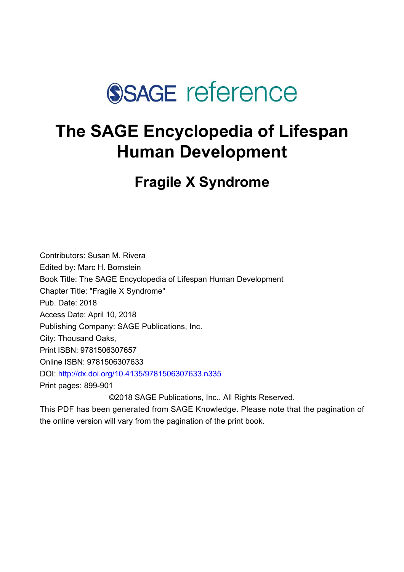

# **The SAGE Encyclopedia of Lifespan Human Development**

**Fragile X Syndrome**

Contributors: Susan M. Rivera Edited by: [Marc H. Bornstein](javascript:void(0);) Book Title: The SAGE Encyclopedia of Lifespan Human Development Chapter Title: "Fragile X Syndrome" Pub. Date: 2018 Access Date: April 10, 2018 Publishing Company: SAGE Publications, Inc. City: Thousand Oaks, Print ISBN: 9781506307657 Online ISBN: 9781506307633 DOI: <http://dx.doi.org/10.4135/9781506307633.n335> Print pages: 899-901 ©2018 SAGE Publications, Inc.. All Rights Reserved.

This PDF has been generated from SAGE Knowledge. Please note that the pagination of the online version will vary from the pagination of the print book.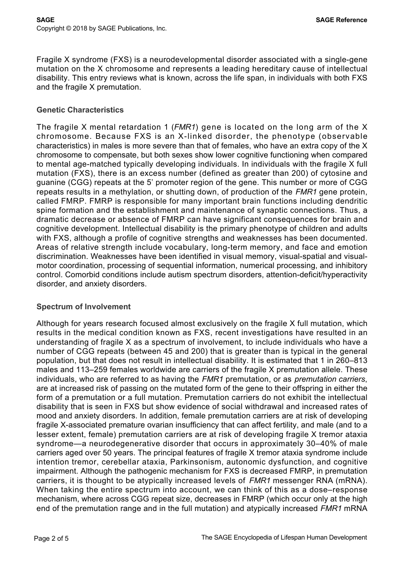Fragile X syndrome (FXS) is a neurodevelopmental disorder associated with a single-gene mutation on the X chromosome and represents a leading hereditary cause of intellectual disability. This entry reviews what is known, across the life span, in individuals with both FXS and the fragile X premutation.

#### **Genetic Characteristics**

The fragile X mental retardation 1 (*FMR1*) gene is located on the long arm of the X chromosome. Because FXS is an X-linked disorder, the phenotype (observable characteristics) in males is more severe than that of females, who have an extra copy of the X chromosome to compensate, but both sexes show lower cognitive functioning when compared to mental age-matched typically developing individuals. In individuals with the fragile X full mutation (FXS), there is an excess number (defined as greater than 200) of cytosine and guanine (CGG) repeats at the 5' promoter region of the gene. This number or more of CGG repeats results in a methylation, or shutting down, of production of the *FMR1* gene protein, called FMRP. FMRP is responsible for many important brain functions including dendritic spine formation and the establishment and maintenance of synaptic connections. Thus, a dramatic decrease or absence of FMRP can have significant consequences for brain and cognitive development. Intellectual disability is the primary phenotype of children and adults with FXS, although a profile of cognitive strengths and weaknesses has been documented. Areas of relative strength include vocabulary, long-term memory, and face and emotion discrimination. Weaknesses have been identified in visual memory, visual-spatial and visualmotor coordination, processing of sequential information, numerical processing, and inhibitory control. Comorbid conditions include autism spectrum disorders, attention-deficit/hyperactivity disorder, and anxiety disorders.

# **Spectrum of Involvement**

Although for years research focused almost exclusively on the fragile X full mutation, which results in the medical condition known as FXS, recent investigations have resulted in an understanding of fragile X as a spectrum of involvement, to include individuals who have a number of CGG repeats (between 45 and 200) that is greater than is typical in the general population, but that does not result in intellectual disability. It is estimated that 1 in 260–813 males and 113–259 females worldwide are carriers of the fragile X premutation allele. These individuals, who are referred to as having the *FMR1* premutation, or as *premutation carriers*, are at increased risk of passing on the mutated form of the gene to their offspring in either the form of a premutation or a full mutation. Premutation carriers do not exhibit the intellectual disability that is seen in FXS but show evidence of social withdrawal and increased rates of mood and anxiety disorders. In addition, female premutation carriers are at risk of developing fragile X-associated premature ovarian insufficiency that can affect fertility, and male (and to a lesser extent, female) premutation carriers are at risk of developing fragile X tremor ataxia syndrome—a neurodegenerative disorder that occurs in approximately 30–40% of male carriers aged over 50 years. The principal features of fragile X tremor ataxia syndrome include intention tremor, cerebellar ataxia, Parkinsonism, autonomic dysfunction, and cognitive impairment. Although the pathogenic mechanism for FXS is decreased FMRP, in premutation carriers, it is thought to be atypically increased levels of *FMR1* messenger RNA (mRNA). When taking the entire spectrum into account, we can think of this as a dose–response mechanism, where across CGG repeat size, decreases in FMRP (which occur only at the high end of the premutation range and in the full mutation) and atypically increased *FMR1* mRNA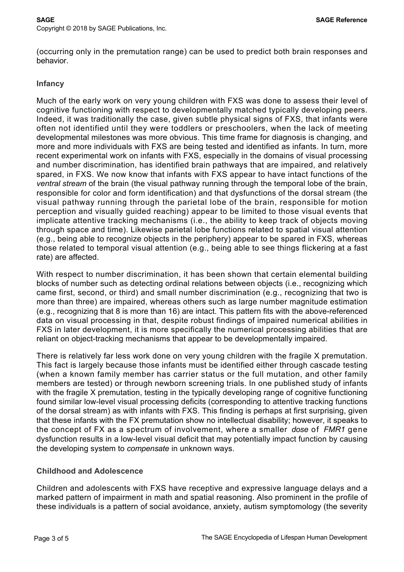(occurring only in the premutation range) can be used to predict both brain responses and behavior.

#### **Infancy**

Much of the early work on very young children with FXS was done to assess their level of cognitive functioning with respect to developmentally matched typically developing peers. Indeed, it was traditionally the case, given subtle physical signs of FXS, that infants were often not identified until they were toddlers or preschoolers, when the lack of meeting developmental milestones was more obvious. This time frame for diagnosis is changing, and more and more individuals with FXS are being tested and identified as infants. In turn, more recent experimental work on infants with FXS, especially in the domains of visual processing and number discrimination, has identified brain pathways that are impaired, and relatively spared, in FXS. We now know that infants with FXS appear to have intact functions of the *ventral stream* of the brain (the visual pathway running through the temporal lobe of the brain, responsible for color and form identification) and that dysfunctions of the dorsal stream (the visual pathway running through the parietal lobe of the brain, responsible for motion perception and visually guided reaching) appear to be limited to those visual events that implicate attentive tracking mechanisms (i.e., the ability to keep track of objects moving through space and time). Likewise parietal lobe functions related to spatial visual attention (e.g., being able to recognize objects in the periphery) appear to be spared in FXS, whereas those related to temporal visual attention (e.g., being able to see things flickering at a fast rate) are affected.

With respect to number discrimination, it has been shown that certain elemental building blocks of number such as detecting ordinal relations between objects (i.e., recognizing which came first, second, or third) and small number discrimination (e.g., recognizing that two is more than three) are impaired, whereas others such as large number magnitude estimation (e.g., recognizing that 8 is more than 16) are intact. This pattern fits with the above-referenced data on visual processing in that, despite robust findings of impaired numerical abilities in FXS in later development, it is more specifically the numerical processing abilities that are reliant on object-tracking mechanisms that appear to be developmentally impaired.

There is relatively far less work done on very young children with the fragile X premutation. This fact is largely because those infants must be identified either through cascade testing (when a known family member has carrier status or the full mutation, and other family members are tested) or through newborn screening trials. In one published study of infants with the fragile X premutation, testing in the typically developing range of cognitive functioning found similar low-level visual processing deficits (corresponding to attentive tracking functions of the dorsal stream) as with infants with FXS. This finding is perhaps at first surprising, given that these infants with the FX premutation show no intellectual disability; however, it speaks to the concept of FX as a spectrum of involvement, where a smaller *dose* of *FMR1* gene dysfunction results in a low-level visual deficit that may potentially impact function by causing the developing system to *compensate* in unknown ways.

# **Childhood and Adolescence**

Children and adolescents with FXS have receptive and expressive language delays and a marked pattern of impairment in math and spatial reasoning. Also prominent in the profile of these individuals is a pattern of social avoidance, anxiety, autism symptomology (the severity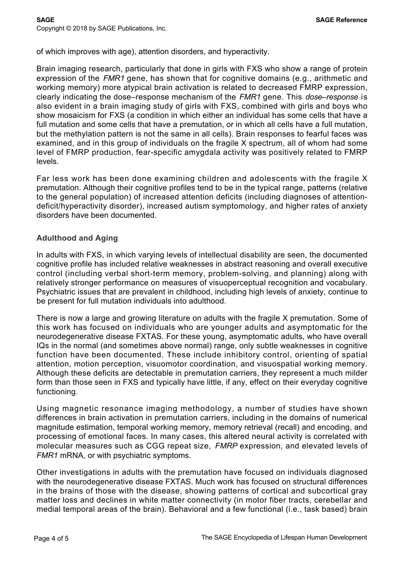of which improves with age), attention disorders, and hyperactivity.

Brain imaging research, particularly that done in girls with FXS who show a range of protein expression of the *FMR1* gene, has shown that for cognitive domains (e.g., arithmetic and working memory) more atypical brain activation is related to decreased FMRP expression, clearly indicating the dose–response mechanism of the *FMR1* gene. This *dose–response* is also evident in a brain imaging study of girls with FXS, combined with girls and boys who show mosaicism for FXS (a condition in which either an individual has some cells that have a full mutation and some cells that have a premutation, or in which all cells have a full mutation, but the methylation pattern is not the same in all cells). Brain responses to fearful faces was examined, and in this group of individuals on the fragile X spectrum, all of whom had some level of FMRP production, fear-specific amygdala activity was positively related to FMRP levels.

Far less work has been done examining children and adolescents with the fragile X premutation. Although their cognitive profiles tend to be in the typical range, patterns (relative to the general population) of increased attention deficits (including diagnoses of attentiondeficit/hyperactivity disorder), increased autism symptomology, and higher rates of anxiety disorders have been documented.

# **Adulthood and Aging**

In adults with FXS, in which varying levels of intellectual disability are seen, the documented cognitive profile has included relative weaknesses in abstract reasoning and overall executive control (including verbal short-term memory, problem-solving, and planning) along with relatively stronger performance on measures of visuoperceptual recognition and vocabulary. Psychiatric issues that are prevalent in childhood, including high levels of anxiety, continue to be present for full mutation individuals into adulthood.

There is now a large and growing literature on adults with the fragile X premutation. Some of this work has focused on individuals who are younger adults and asymptomatic for the neurodegenerative disease FXTAS. For these young, asymptomatic adults, who have overall IQs in the normal (and sometimes above normal) range, only subtle weaknesses in cognitive function have been documented. These include inhibitory control, orienting of spatial attention, motion perception, visuomotor coordination, and visuospatial working memory. Although these deficits are detectable in premutation carriers, they represent a much milder form than those seen in FXS and typically have little, if any, effect on their everyday cognitive functioning.

Using magnetic resonance imaging methodology, a number of studies have shown differences in brain activation in premutation carriers, including in the domains of numerical magnitude estimation, temporal working memory, memory retrieval (recall) and encoding, and processing of emotional faces. In many cases, this altered neural activity is correlated with molecular measures such as CGG repeat size, *FMRP* expression, and elevated levels of *FMR1* mRNA, or with psychiatric symptoms.

Other investigations in adults with the premutation have focused on individuals diagnosed with the neurodegenerative disease FXTAS. Much work has focused on structural differences in the brains of those with the disease, showing patterns of cortical and subcortical gray matter loss and declines in white matter connectivity (in motor fiber tracts, cerebellar and medial temporal areas of the brain). Behavioral and a few functional (i.e., task based) brain